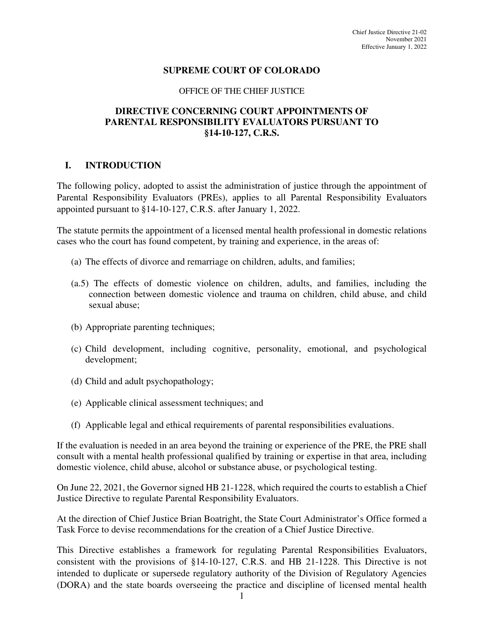## **SUPREME COURT OF COLORADO**

#### OFFICE OF THE CHIEF JUSTICE

## **DIRECTIVE CONCERNING COURT APPOINTMENTS OF PARENTAL RESPONSIBILITY EVALUATORS PURSUANT TO §14-10-127, C.R.S.**

### **I. INTRODUCTION**

The following policy, adopted to assist the administration of justice through the appointment of Parental Responsibility Evaluators (PREs), applies to all Parental Responsibility Evaluators appointed pursuant to §14-10-127, C.R.S. after January 1, 2022.

The statute permits the appointment of a licensed mental health professional in domestic relations cases who the court has found competent, by training and experience, in the areas of:

- (a) The effects of divorce and remarriage on children, adults, and families;
- (a.5) The effects of domestic violence on children, adults, and families, including the connection between domestic violence and trauma on children, child abuse, and child sexual abuse;
- (b) Appropriate parenting techniques;
- (c) Child development, including cognitive, personality, emotional, and psychological development;
- (d) Child and adult psychopathology;
- (e) Applicable clinical assessment techniques; and
- (f) Applicable legal and ethical requirements of parental responsibilities evaluations.

If the evaluation is needed in an area beyond the training or experience of the PRE, the PRE shall consult with a mental health professional qualified by training or expertise in that area, including domestic violence, child abuse, alcohol or substance abuse, or psychological testing.

On June 22, 2021, the Governor signed HB 21-1228, which required the courts to establish a Chief Justice Directive to regulate Parental Responsibility Evaluators.

At the direction of Chief Justice Brian Boatright, the State Court Administrator's Office formed a Task Force to devise recommendations for the creation of a Chief Justice Directive.

This Directive establishes a framework for regulating Parental Responsibilities Evaluators, consistent with the provisions of §14-10-127, C.R.S. and HB 21-1228. This Directive is not intended to duplicate or supersede regulatory authority of the Division of Regulatory Agencies (DORA) and the state boards overseeing the practice and discipline of licensed mental health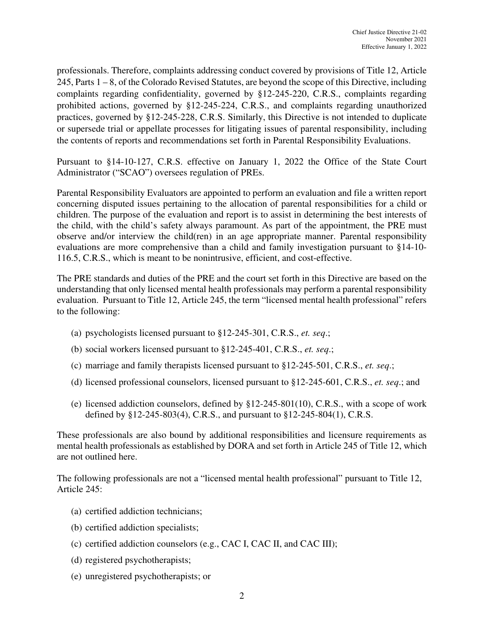professionals. Therefore, complaints addressing conduct covered by provisions of Title 12, Article 245, Parts 1 – 8, of the Colorado Revised Statutes, are beyond the scope of this Directive, including complaints regarding confidentiality, governed by §12-245-220, C.R.S., complaints regarding prohibited actions, governed by §12-245-224, C.R.S., and complaints regarding unauthorized practices, governed by §12-245-228, C.R.S. Similarly, this Directive is not intended to duplicate or supersede trial or appellate processes for litigating issues of parental responsibility, including the contents of reports and recommendations set forth in Parental Responsibility Evaluations.

Pursuant to §14-10-127, C.R.S. effective on January 1, 2022 the Office of the State Court Administrator ("SCAO") oversees regulation of PREs.

Parental Responsibility Evaluators are appointed to perform an evaluation and file a written report concerning disputed issues pertaining to the allocation of parental responsibilities for a child or children. The purpose of the evaluation and report is to assist in determining the best interests of the child, with the child's safety always paramount. As part of the appointment, the PRE must observe and/or interview the child(ren) in an age appropriate manner. Parental responsibility evaluations are more comprehensive than a child and family investigation pursuant to §14-10- 116.5, C.R.S., which is meant to be nonintrusive, efficient, and cost-effective.

The PRE standards and duties of the PRE and the court set forth in this Directive are based on the understanding that only licensed mental health professionals may perform a parental responsibility evaluation. Pursuant to Title 12, Article 245, the term "licensed mental health professional" refers to the following:

- (a) psychologists licensed pursuant to §12-245-301, C.R.S., *et. seq*.;
- (b) social workers licensed pursuant to §12-245-401, C.R.S., *et. seq*.;
- (c) marriage and family therapists licensed pursuant to §12-245-501, C.R.S., *et. seq*.;
- (d) licensed professional counselors, licensed pursuant to §12-245-601, C.R.S., *et. seq*.; and
- (e) licensed addiction counselors, defined by §12-245-801(10), C.R.S., with a scope of work defined by §12-245-803(4), C.R.S., and pursuant to §12-245-804(1), C.R.S.

These professionals are also bound by additional responsibilities and licensure requirements as mental health professionals as established by DORA and set forth in Article 245 of Title 12, which are not outlined here.

The following professionals are not a "licensed mental health professional" pursuant to Title 12, Article 245:

- (a) certified addiction technicians;
- (b) certified addiction specialists;
- (c) certified addiction counselors (e.g., CAC I, CAC II, and CAC III);
- (d) registered psychotherapists;
- (e) unregistered psychotherapists; or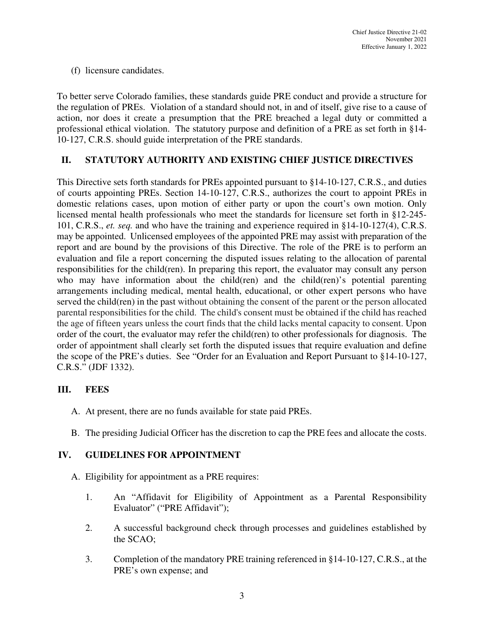(f) licensure candidates.

To better serve Colorado families, these standards guide PRE conduct and provide a structure for the regulation of PREs. Violation of a standard should not, in and of itself, give rise to a cause of action, nor does it create a presumption that the PRE breached a legal duty or committed a professional ethical violation. The statutory purpose and definition of a PRE as set forth in §14- 10-127, C.R.S. should guide interpretation of the PRE standards.

# **II. STATUTORY AUTHORITY AND EXISTING CHIEF JUSTICE DIRECTIVES**

This Directive sets forth standards for PREs appointed pursuant to §14-10-127, C.R.S., and duties of courts appointing PREs. Section 14-10-127, C.R.S., authorizes the court to appoint PREs in domestic relations cases, upon motion of either party or upon the court's own motion. Only licensed mental health professionals who meet the standards for licensure set forth in §12-245- 101, C.R.S., *et. seq.* and who have the training and experience required in §14-10-127(4), C.R.S. may be appointed. Unlicensed employees of the appointed PRE may assist with preparation of the report and are bound by the provisions of this Directive. The role of the PRE is to perform an evaluation and file a report concerning the disputed issues relating to the allocation of parental responsibilities for the child(ren). In preparing this report, the evaluator may consult any person who may have information about the child(ren) and the child(ren)'s potential parenting arrangements including medical, mental health, educational, or other expert persons who have served the child(ren) in the past without obtaining the consent of the parent or the person allocated parental responsibilities for the child. The child's consent must be obtained if the child has reached the age of fifteen years unless the court finds that the child lacks mental capacity to consent. Upon order of the court, the evaluator may refer the child(ren) to other professionals for diagnosis. The order of appointment shall clearly set forth the disputed issues that require evaluation and define the scope of the PRE's duties. See "Order for an Evaluation and Report Pursuant to §14-10-127, C.R.S." (JDF 1332).

## **III. FEES**

- A. At present, there are no funds available for state paid PREs.
- B. The presiding Judicial Officer has the discretion to cap the PRE fees and allocate the costs.

## **IV. GUIDELINES FOR APPOINTMENT**

- A. Eligibility for appointment as a PRE requires:
	- 1. An "Affidavit for Eligibility of Appointment as a Parental Responsibility Evaluator" ("PRE Affidavit");
	- 2. A successful background check through processes and guidelines established by the SCAO;
	- 3. Completion of the mandatory PRE training referenced in §14-10-127, C.R.S., at the PRE's own expense; and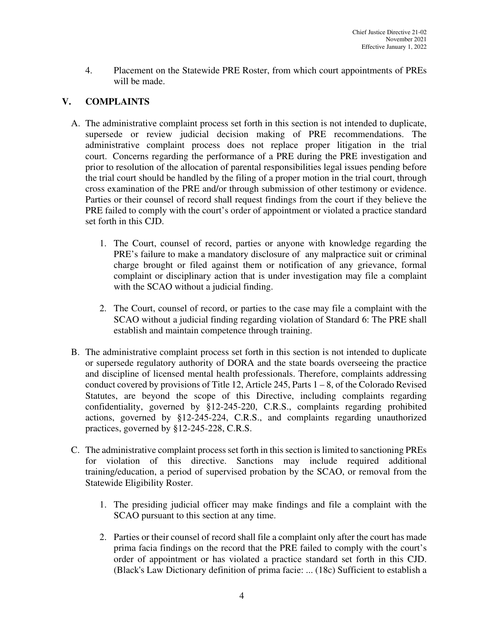4. Placement on the Statewide PRE Roster, from which court appointments of PREs will be made.

# **V. COMPLAINTS**

- A. The administrative complaint process set forth in this section is not intended to duplicate, supersede or review judicial decision making of PRE recommendations. The administrative complaint process does not replace proper litigation in the trial court. Concerns regarding the performance of a PRE during the PRE investigation and prior to resolution of the allocation of parental responsibilities legal issues pending before the trial court should be handled by the filing of a proper motion in the trial court, through cross examination of the PRE and/or through submission of other testimony or evidence. Parties or their counsel of record shall request findings from the court if they believe the PRE failed to comply with the court's order of appointment or violated a practice standard set forth in this CJD.
	- 1. The Court, counsel of record, parties or anyone with knowledge regarding the PRE's failure to make a mandatory disclosure of any malpractice suit or criminal charge brought or filed against them or notification of any grievance, formal complaint or disciplinary action that is under investigation may file a complaint with the SCAO without a judicial finding.
	- 2. The Court, counsel of record, or parties to the case may file a complaint with the SCAO without a judicial finding regarding violation of Standard 6: The PRE shall establish and maintain competence through training.
- B. The administrative complaint process set forth in this section is not intended to duplicate or supersede regulatory authority of DORA and the state boards overseeing the practice and discipline of licensed mental health professionals. Therefore, complaints addressing conduct covered by provisions of Title 12, Article 245, Parts 1 – 8, of the Colorado Revised Statutes, are beyond the scope of this Directive, including complaints regarding confidentiality, governed by §12-245-220, C.R.S., complaints regarding prohibited actions, governed by §12-245-224, C.R.S., and complaints regarding unauthorized practices, governed by §12-245-228, C.R.S.
- C. The administrative complaint process set forth in this section is limited to sanctioning PREs for violation of this directive. Sanctions may include required additional training/education, a period of supervised probation by the SCAO, or removal from the Statewide Eligibility Roster.
	- 1. The presiding judicial officer may make findings and file a complaint with the SCAO pursuant to this section at any time.
	- 2. Parties or their counsel of record shall file a complaint only after the court has made prima facia findings on the record that the PRE failed to comply with the court's order of appointment or has violated a practice standard set forth in this CJD. (Black's Law Dictionary definition of prima facie: ... (18c) Sufficient to establish a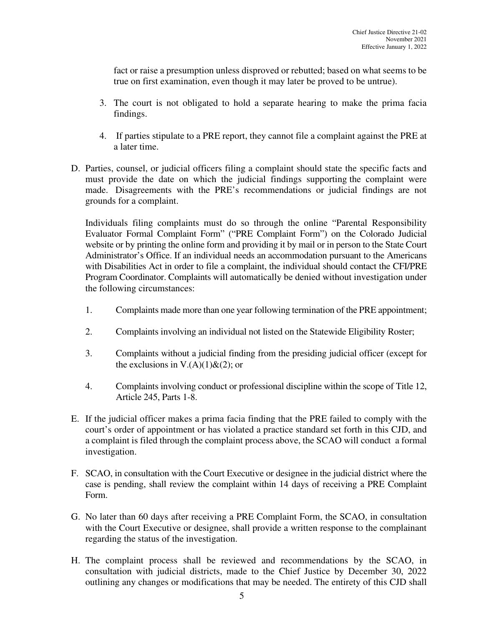fact or raise a presumption unless disproved or rebutted; based on what seems to be true on first examination, even though it may later be proved to be untrue).

- 3. The court is not obligated to hold a separate hearing to make the prima facia findings.
- 4. If parties stipulate to a PRE report, they cannot file a complaint against the PRE at a later time.
- D. Parties, counsel, or judicial officers filing a complaint should state the specific facts and must provide the date on which the judicial findings supporting the complaint were made. Disagreements with the PRE's recommendations or judicial findings are not grounds for a complaint.

Individuals filing complaints must do so through the online "Parental Responsibility Evaluator Formal Complaint Form" ("PRE Complaint Form") on the Colorado Judicial website or by printing the online form and providing it by mail or in person to the State Court Administrator's Office. If an individual needs an accommodation pursuant to the Americans with Disabilities Act in order to file a complaint, the individual should contact the CFI/PRE Program Coordinator. Complaints will automatically be denied without investigation under the following circumstances:

- 1. Complaints made more than one year following termination of the PRE appointment;
- 2. Complaints involving an individual not listed on the Statewide Eligibility Roster;
- 3. Complaints without a judicial finding from the presiding judicial officer (except for the exclusions in V. $(A)(1)$ & $(2)$ ; or
- 4. Complaints involving conduct or professional discipline within the scope of Title 12, Article 245, Parts 1-8.
- E. If the judicial officer makes a prima facia finding that the PRE failed to comply with the court's order of appointment or has violated a practice standard set forth in this CJD, and a complaint is filed through the complaint process above, the SCAO will conduct a formal investigation.
- F. SCAO, in consultation with the Court Executive or designee in the judicial district where the case is pending, shall review the complaint within 14 days of receiving a PRE Complaint Form.
- G. No later than 60 days after receiving a PRE Complaint Form, the SCAO, in consultation with the Court Executive or designee, shall provide a written response to the complainant regarding the status of the investigation.
- H. The complaint process shall be reviewed and recommendations by the SCAO, in consultation with judicial districts, made to the Chief Justice by December 30, 2022 outlining any changes or modifications that may be needed. The entirety of this CJD shall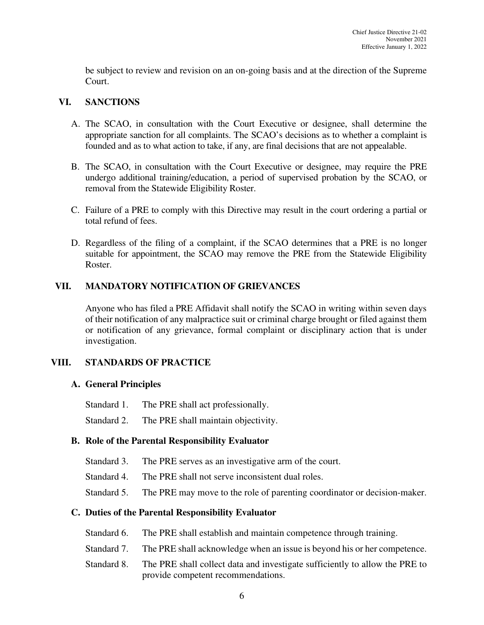be subject to review and revision on an on-going basis and at the direction of the Supreme Court.

## **VI. SANCTIONS**

- A. The SCAO, in consultation with the Court Executive or designee, shall determine the appropriate sanction for all complaints. The SCAO's decisions as to whether a complaint is founded and as to what action to take, if any, are final decisions that are not appealable.
- B. The SCAO, in consultation with the Court Executive or designee, may require the PRE undergo additional training/education, a period of supervised probation by the SCAO, or removal from the Statewide Eligibility Roster.
- C. Failure of a PRE to comply with this Directive may result in the court ordering a partial or total refund of fees.
- D. Regardless of the filing of a complaint, if the SCAO determines that a PRE is no longer suitable for appointment, the SCAO may remove the PRE from the Statewide Eligibility Roster.

# **VII. MANDATORY NOTIFICATION OF GRIEVANCES**

Anyone who has filed a PRE Affidavit shall notify the SCAO in writing within seven days of their notification of any malpractice suit or criminal charge brought or filed against them or notification of any grievance, formal complaint or disciplinary action that is under investigation.

# **VIII. STANDARDS OF PRACTICE**

# **A. General Principles**

Standard 1. The PRE shall act professionally.

Standard 2. The PRE shall maintain objectivity.

# **B. Role of the Parental Responsibility Evaluator**

- Standard 3. The PRE serves as an investigative arm of the court.
- Standard 4. The PRE shall not serve inconsistent dual roles.
- Standard 5. The PRE may move to the role of parenting coordinator or decision-maker.

## **C. Duties of the Parental Responsibility Evaluator**

- Standard 6. The PRE shall establish and maintain competence through training.
- Standard 7. The PRE shall acknowledge when an issue is beyond his or her competence.
- Standard 8. The PRE shall collect data and investigate sufficiently to allow the PRE to provide competent recommendations.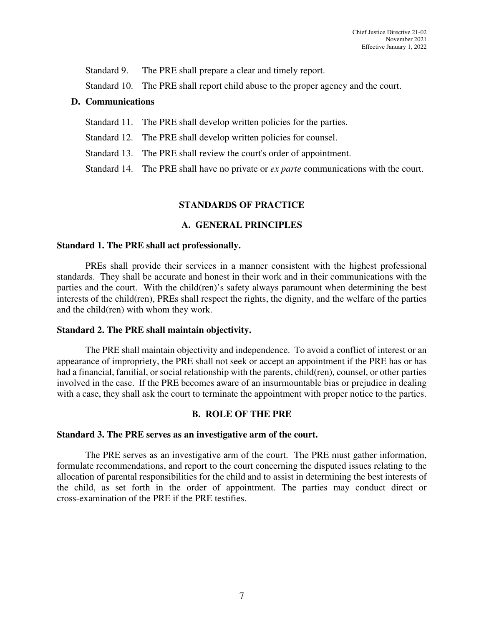Standard 9. The PRE shall prepare a clear and timely report.

Standard 10. The PRE shall report child abuse to the proper agency and the court.

### **D. Communications**

- Standard 11. The PRE shall develop written policies for the parties.
- Standard 12. The PRE shall develop written policies for counsel.
- Standard 13. The PRE shall review the court's order of appointment.

Standard 14. The PRE shall have no private or *ex parte* communications with the court.

## **STANDARDS OF PRACTICE**

## **A. GENERAL PRINCIPLES**

### **Standard 1. The PRE shall act professionally.**

PREs shall provide their services in a manner consistent with the highest professional standards. They shall be accurate and honest in their work and in their communications with the parties and the court. With the child(ren)'s safety always paramount when determining the best interests of the child(ren), PREs shall respect the rights, the dignity, and the welfare of the parties and the child(ren) with whom they work.

## **Standard 2. The PRE shall maintain objectivity.**

The PRE shall maintain objectivity and independence. To avoid a conflict of interest or an appearance of impropriety, the PRE shall not seek or accept an appointment if the PRE has or has had a financial, familial, or social relationship with the parents, child(ren), counsel, or other parties involved in the case. If the PRE becomes aware of an insurmountable bias or prejudice in dealing with a case, they shall ask the court to terminate the appointment with proper notice to the parties.

## **B. ROLE OF THE PRE**

#### **Standard 3. The PRE serves as an investigative arm of the court.**

The PRE serves as an investigative arm of the court. The PRE must gather information, formulate recommendations, and report to the court concerning the disputed issues relating to the allocation of parental responsibilities for the child and to assist in determining the best interests of the child, as set forth in the order of appointment. The parties may conduct direct or cross-examination of the PRE if the PRE testifies.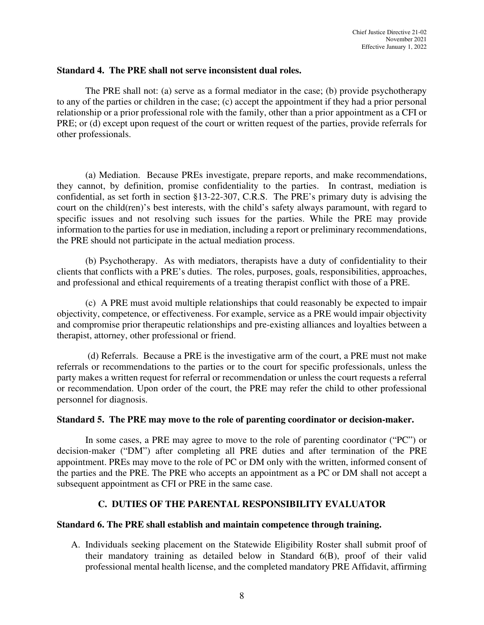## **Standard 4. The PRE shall not serve inconsistent dual roles.**

The PRE shall not: (a) serve as a formal mediator in the case; (b) provide psychotherapy to any of the parties or children in the case; (c) accept the appointment if they had a prior personal relationship or a prior professional role with the family, other than a prior appointment as a CFI or PRE; or (d) except upon request of the court or written request of the parties, provide referrals for other professionals.

(a) Mediation. Because PREs investigate, prepare reports, and make recommendations, they cannot, by definition, promise confidentiality to the parties. In contrast, mediation is confidential, as set forth in section §13-22-307, C.R.S. The PRE's primary duty is advising the court on the child(ren)'s best interests, with the child's safety always paramount, with regard to specific issues and not resolving such issues for the parties. While the PRE may provide information to the parties for use in mediation, including a report or preliminary recommendations, the PRE should not participate in the actual mediation process.

(b) Psychotherapy. As with mediators, therapists have a duty of confidentiality to their clients that conflicts with a PRE's duties. The roles, purposes, goals, responsibilities, approaches, and professional and ethical requirements of a treating therapist conflict with those of a PRE.

(c) A PRE must avoid multiple relationships that could reasonably be expected to impair objectivity, competence, or effectiveness. For example, service as a PRE would impair objectivity and compromise prior therapeutic relationships and pre-existing alliances and loyalties between a therapist, attorney, other professional or friend.

 (d) Referrals. Because a PRE is the investigative arm of the court, a PRE must not make referrals or recommendations to the parties or to the court for specific professionals, unless the party makes a written request for referral or recommendation or unless the court requests a referral or recommendation. Upon order of the court, the PRE may refer the child to other professional personnel for diagnosis.

## **Standard 5. The PRE may move to the role of parenting coordinator or decision-maker.**

In some cases, a PRE may agree to move to the role of parenting coordinator ("PC") or decision-maker ("DM") after completing all PRE duties and after termination of the PRE appointment. PREs may move to the role of PC or DM only with the written, informed consent of the parties and the PRE. The PRE who accepts an appointment as a PC or DM shall not accept a subsequent appointment as CFI or PRE in the same case.

# **C. DUTIES OF THE PARENTAL RESPONSIBILITY EVALUATOR**

## **Standard 6. The PRE shall establish and maintain competence through training.**

A. Individuals seeking placement on the Statewide Eligibility Roster shall submit proof of their mandatory training as detailed below in Standard 6(B), proof of their valid professional mental health license, and the completed mandatory PRE Affidavit, affirming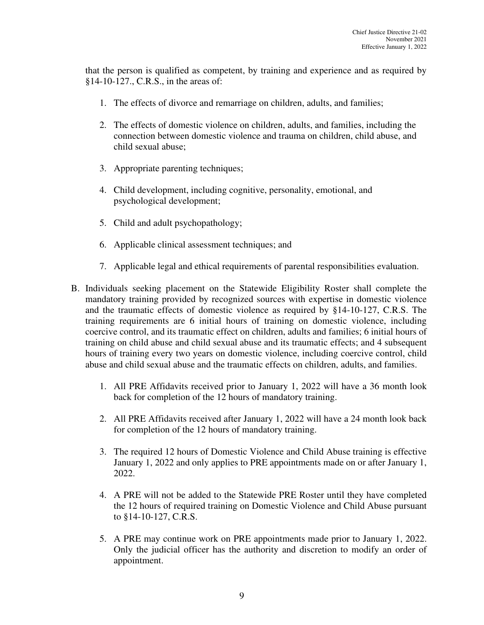that the person is qualified as competent, by training and experience and as required by §14-10-127., C.R.S., in the areas of:

- 1. The effects of divorce and remarriage on children, adults, and families;
- 2. The effects of domestic violence on children, adults, and families, including the connection between domestic violence and trauma on children, child abuse, and child sexual abuse;
- 3. Appropriate parenting techniques;
- 4. Child development, including cognitive, personality, emotional, and psychological development;
- 5. Child and adult psychopathology;
- 6. Applicable clinical assessment techniques; and
- 7. Applicable legal and ethical requirements of parental responsibilities evaluation.
- B. Individuals seeking placement on the Statewide Eligibility Roster shall complete the mandatory training provided by recognized sources with expertise in domestic violence and the traumatic effects of domestic violence as required by §14-10-127, C.R.S. The training requirements are 6 initial hours of training on domestic violence, including coercive control, and its traumatic effect on children, adults and families; 6 initial hours of training on child abuse and child sexual abuse and its traumatic effects; and 4 subsequent hours of training every two years on domestic violence, including coercive control, child abuse and child sexual abuse and the traumatic effects on children, adults, and families.
	- 1. All PRE Affidavits received prior to January 1, 2022 will have a 36 month look back for completion of the 12 hours of mandatory training.
	- 2. All PRE Affidavits received after January 1, 2022 will have a 24 month look back for completion of the 12 hours of mandatory training.
	- 3. The required 12 hours of Domestic Violence and Child Abuse training is effective January 1, 2022 and only applies to PRE appointments made on or after January 1, 2022.
	- 4. A PRE will not be added to the Statewide PRE Roster until they have completed the 12 hours of required training on Domestic Violence and Child Abuse pursuant to §14-10-127, C.R.S.
	- 5. A PRE may continue work on PRE appointments made prior to January 1, 2022. Only the judicial officer has the authority and discretion to modify an order of appointment.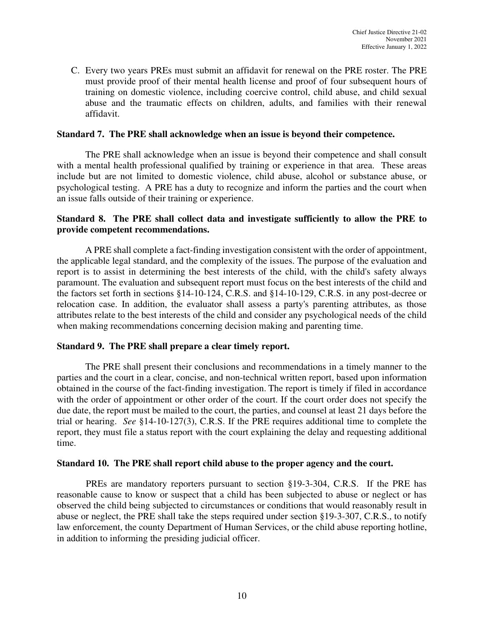C. Every two years PREs must submit an affidavit for renewal on the PRE roster. The PRE must provide proof of their mental health license and proof of four subsequent hours of training on domestic violence, including coercive control, child abuse, and child sexual abuse and the traumatic effects on children, adults, and families with their renewal affidavit.

### **Standard 7. The PRE shall acknowledge when an issue is beyond their competence.**

The PRE shall acknowledge when an issue is beyond their competence and shall consult with a mental health professional qualified by training or experience in that area. These areas include but are not limited to domestic violence, child abuse, alcohol or substance abuse, or psychological testing. A PRE has a duty to recognize and inform the parties and the court when an issue falls outside of their training or experience.

## **Standard 8. The PRE shall collect data and investigate sufficiently to allow the PRE to provide competent recommendations.**

A PRE shall complete a fact-finding investigation consistent with the order of appointment, the applicable legal standard, and the complexity of the issues. The purpose of the evaluation and report is to assist in determining the best interests of the child, with the child's safety always paramount. The evaluation and subsequent report must focus on the best interests of the child and the factors set forth in sections §14-10-124, C.R.S. and §14-10-129, C.R.S. in any post-decree or relocation case. In addition, the evaluator shall assess a party's parenting attributes, as those attributes relate to the best interests of the child and consider any psychological needs of the child when making recommendations concerning decision making and parenting time.

## **Standard 9. The PRE shall prepare a clear timely report.**

The PRE shall present their conclusions and recommendations in a timely manner to the parties and the court in a clear, concise, and non-technical written report, based upon information obtained in the course of the fact-finding investigation. The report is timely if filed in accordance with the order of appointment or other order of the court. If the court order does not specify the due date, the report must be mailed to the court, the parties, and counsel at least 21 days before the trial or hearing. *See* §14-10-127(3), C.R.S. If the PRE requires additional time to complete the report, they must file a status report with the court explaining the delay and requesting additional time.

#### **Standard 10. The PRE shall report child abuse to the proper agency and the court.**

PREs are mandatory reporters pursuant to section §19-3-304, C.R.S. If the PRE has reasonable cause to know or suspect that a child has been subjected to abuse or neglect or has observed the child being subjected to circumstances or conditions that would reasonably result in abuse or neglect, the PRE shall take the steps required under section §19-3-307, C.R.S., to notify law enforcement, the county Department of Human Services, or the child abuse reporting hotline, in addition to informing the presiding judicial officer.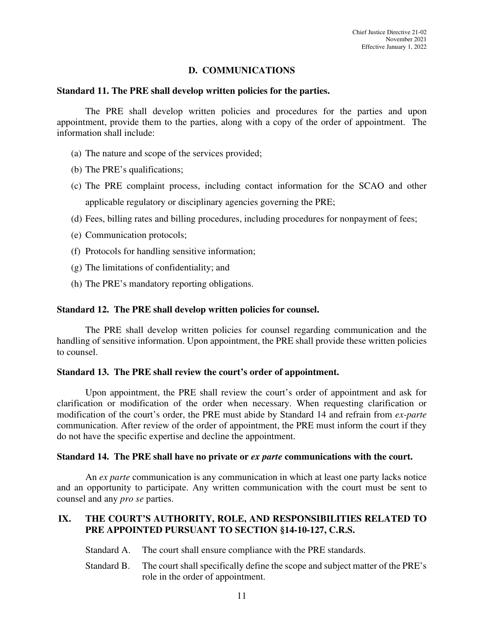## **D. COMMUNICATIONS**

#### **Standard 11. The PRE shall develop written policies for the parties.**

The PRE shall develop written policies and procedures for the parties and upon appointment, provide them to the parties, along with a copy of the order of appointment. The information shall include:

- (a) The nature and scope of the services provided;
- (b) The PRE's qualifications;
- (c) The PRE complaint process, including contact information for the SCAO and other applicable regulatory or disciplinary agencies governing the PRE;
- (d) Fees, billing rates and billing procedures, including procedures for nonpayment of fees;
- (e) Communication protocols;
- (f) Protocols for handling sensitive information;
- (g) The limitations of confidentiality; and
- (h) The PRE's mandatory reporting obligations.

#### **Standard 12. The PRE shall develop written policies for counsel.**

The PRE shall develop written policies for counsel regarding communication and the handling of sensitive information. Upon appointment, the PRE shall provide these written policies to counsel.

#### **Standard 13. The PRE shall review the court's order of appointment.**

Upon appointment, the PRE shall review the court's order of appointment and ask for clarification or modification of the order when necessary. When requesting clarification or modification of the court's order, the PRE must abide by Standard 14 and refrain from *ex-parte*  communication. After review of the order of appointment, the PRE must inform the court if they do not have the specific expertise and decline the appointment.

#### **Standard 14. The PRE shall have no private or** *ex parte* **communications with the court.**

An *ex parte* communication is any communication in which at least one party lacks notice and an opportunity to participate. Any written communication with the court must be sent to counsel and any *pro se* parties.

## **IX. THE COURT'S AUTHORITY, ROLE, AND RESPONSIBILITIES RELATED TO PRE APPOINTED PURSUANT TO SECTION §14-10-127, C.R.S.**

- Standard A. The court shall ensure compliance with the PRE standards.
- Standard B. The court shall specifically define the scope and subject matter of the PRE's role in the order of appointment.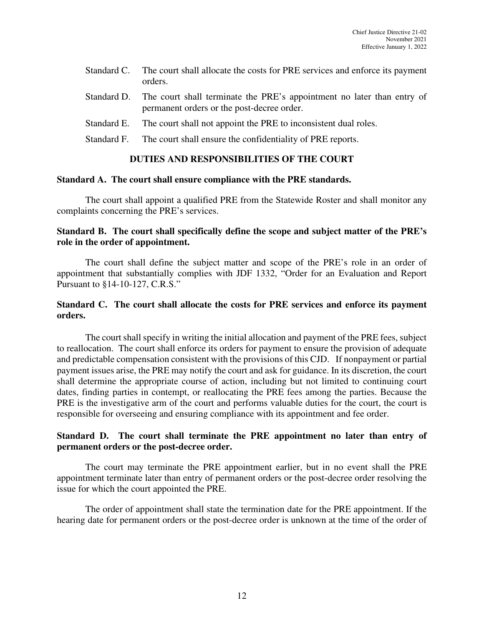| Standard C. The court shall allocate the costs for PRE services and enforce its payment |
|-----------------------------------------------------------------------------------------|
| orders.                                                                                 |

- Standard D. The court shall terminate the PRE's appointment no later than entry of permanent orders or the post-decree order.
- Standard E. The court shall not appoint the PRE to inconsistent dual roles.
- Standard F. The court shall ensure the confidentiality of PRE reports.

### **DUTIES AND RESPONSIBILITIES OF THE COURT**

#### **Standard A. The court shall ensure compliance with the PRE standards.**

The court shall appoint a qualified PRE from the Statewide Roster and shall monitor any complaints concerning the PRE's services.

## **Standard B. The court shall specifically define the scope and subject matter of the PRE's role in the order of appointment.**

The court shall define the subject matter and scope of the PRE's role in an order of appointment that substantially complies with JDF 1332, "Order for an Evaluation and Report Pursuant to §14-10-127, C.R.S."

## **Standard C. The court shall allocate the costs for PRE services and enforce its payment orders.**

The court shall specify in writing the initial allocation and payment of the PRE fees, subject to reallocation. The court shall enforce its orders for payment to ensure the provision of adequate and predictable compensation consistent with the provisions of this CJD. If nonpayment or partial payment issues arise, the PRE may notify the court and ask for guidance. In its discretion, the court shall determine the appropriate course of action, including but not limited to continuing court dates, finding parties in contempt, or reallocating the PRE fees among the parties. Because the PRE is the investigative arm of the court and performs valuable duties for the court, the court is responsible for overseeing and ensuring compliance with its appointment and fee order.

## **Standard D. The court shall terminate the PRE appointment no later than entry of permanent orders or the post-decree order.**

The court may terminate the PRE appointment earlier, but in no event shall the PRE appointment terminate later than entry of permanent orders or the post-decree order resolving the issue for which the court appointed the PRE.

The order of appointment shall state the termination date for the PRE appointment. If the hearing date for permanent orders or the post-decree order is unknown at the time of the order of